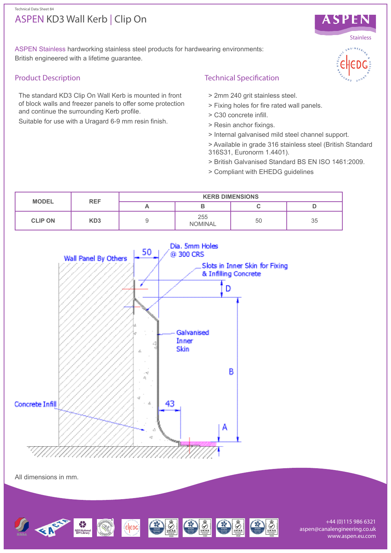#### Technical Data Sheet 84

# ASPEN KD3 Wall Kerb | Clip On



ASPEN Stainless hardworking stainless steel products for hardwearing environments: British engineered with a lifetime guarantee.

## Product Description

The standard KD3 Clip On Wall Kerb is mounted in front of block walls and freezer panels to offer some protection and continue the surrounding Kerb profile.

Suitable for use with a Uragard 6-9 mm resin finish.

# Technical Specification

- > 2mm 240 grit stainless steel.
- > Fixing holes for fire rated wall panels.
- > C30 concrete infill.
- > Resin anchor fixings.
- > Internal galvanised mild steel channel support.
- > Available in grade 316 stainless steel (British Standard 316S31, Euronorm 1.4401).
- > British Galvanised Standard BS EN ISO 1461:2009.
- > Compliant with EHEDG guidelines





All dimensions in mm.



+44 (0)115 986 6321 aspen@canalengineering.co.uk www.aspen.eu.com